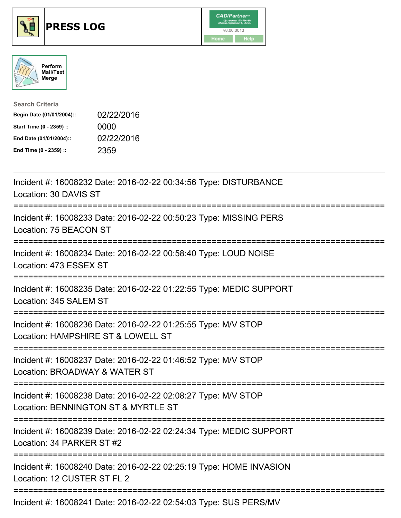





| <b>Search Criteria</b>    |            |
|---------------------------|------------|
| Begin Date (01/01/2004):: | 02/22/2016 |
| Start Time (0 - 2359) ::  | 0000       |
| End Date (01/01/2004)::   | 02/22/2016 |
| End Time (0 - 2359) ::    | 2359       |

| Incident #: 16008232 Date: 2016-02-22 00:34:56 Type: DISTURBANCE<br>Location: 30 DAVIS ST                                                             |
|-------------------------------------------------------------------------------------------------------------------------------------------------------|
| Incident #: 16008233 Date: 2016-02-22 00:50:23 Type: MISSING PERS<br>Location: 75 BEACON ST                                                           |
| Incident #: 16008234 Date: 2016-02-22 00:58:40 Type: LOUD NOISE<br>Location: 473 ESSEX ST<br>--------------                                           |
| Incident #: 16008235 Date: 2016-02-22 01:22:55 Type: MEDIC SUPPORT<br>Location: 345 SALEM ST<br>======================================<br>----------- |
| Incident #: 16008236 Date: 2016-02-22 01:25:55 Type: M/V STOP<br>Location: HAMPSHIRE ST & LOWELL ST                                                   |
| Incident #: 16008237 Date: 2016-02-22 01:46:52 Type: M/V STOP<br>Location: BROADWAY & WATER ST<br>=========================                           |
| Incident #: 16008238 Date: 2016-02-22 02:08:27 Type: M/V STOP<br>Location: BENNINGTON ST & MYRTLE ST<br>;==========================                   |
| Incident #: 16008239 Date: 2016-02-22 02:24:34 Type: MEDIC SUPPORT<br>Location: 34 PARKER ST #2                                                       |
| Incident #: 16008240 Date: 2016-02-22 02:25:19 Type: HOME INVASION<br>Location: 12 CUSTER ST FL 2                                                     |
| Incident #: 16008241 Date: 2016-02-22 02:54:03 Type: SUS PERS/MV                                                                                      |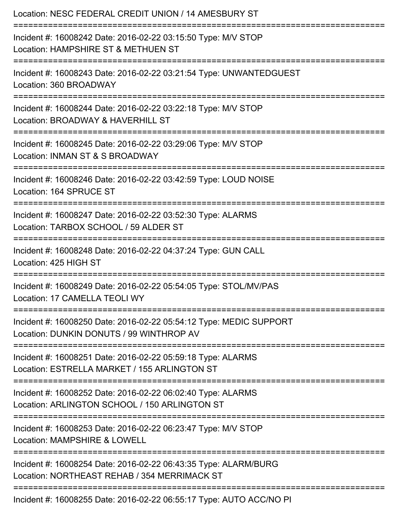| Location: NESC FEDERAL CREDIT UNION / 14 AMESBURY ST<br>===========================                                           |
|-------------------------------------------------------------------------------------------------------------------------------|
| Incident #: 16008242 Date: 2016-02-22 03:15:50 Type: M/V STOP<br>Location: HAMPSHIRE ST & METHUEN ST                          |
| Incident #: 16008243 Date: 2016-02-22 03:21:54 Type: UNWANTEDGUEST<br>Location: 360 BROADWAY                                  |
| Incident #: 16008244 Date: 2016-02-22 03:22:18 Type: M/V STOP<br>Location: BROADWAY & HAVERHILL ST<br>:====================== |
| Incident #: 16008245 Date: 2016-02-22 03:29:06 Type: M/V STOP<br>Location: INMAN ST & S BROADWAY                              |
| Incident #: 16008246 Date: 2016-02-22 03:42:59 Type: LOUD NOISE<br>Location: 164 SPRUCE ST                                    |
| Incident #: 16008247 Date: 2016-02-22 03:52:30 Type: ALARMS<br>Location: TARBOX SCHOOL / 59 ALDER ST                          |
| Incident #: 16008248 Date: 2016-02-22 04:37:24 Type: GUN CALL<br>Location: 425 HIGH ST                                        |
| Incident #: 16008249 Date: 2016-02-22 05:54:05 Type: STOL/MV/PAS<br>Location: 17 CAMELLA TEOLI WY                             |
| Incident #: 16008250 Date: 2016-02-22 05:54:12 Type: MEDIC SUPPORT<br>Location: DUNKIN DONUTS / 99 WINTHROP AV                |
| Incident #: 16008251 Date: 2016-02-22 05:59:18 Type: ALARMS<br>Location: ESTRELLA MARKET / 155 ARLINGTON ST                   |
| Incident #: 16008252 Date: 2016-02-22 06:02:40 Type: ALARMS<br>Location: ARLINGTON SCHOOL / 150 ARLINGTON ST                  |
| Incident #: 16008253 Date: 2016-02-22 06:23:47 Type: M/V STOP<br>Location: MAMPSHIRE & LOWELL                                 |
| Incident #: 16008254 Date: 2016-02-22 06:43:35 Type: ALARM/BURG<br>Location: NORTHEAST REHAB / 354 MERRIMACK ST               |
| Incident #: 16008255 Date: 2016-02-22 06:55:17 Type: AUTO ACC/NO PI                                                           |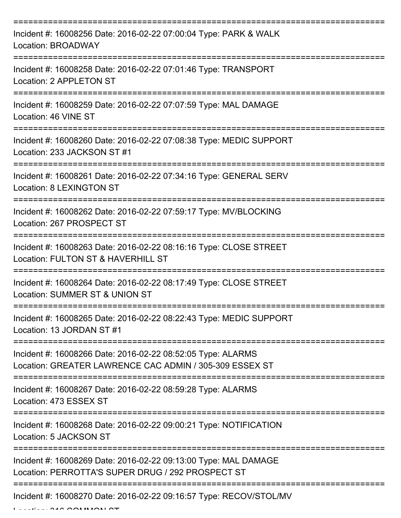| Incident #: 16008256 Date: 2016-02-22 07:00:04 Type: PARK & WALK<br>Location: BROADWAY                                 |
|------------------------------------------------------------------------------------------------------------------------|
| Incident #: 16008258 Date: 2016-02-22 07:01:46 Type: TRANSPORT<br>Location: 2 APPLETON ST                              |
| Incident #: 16008259 Date: 2016-02-22 07:07:59 Type: MAL DAMAGE<br>Location: 46 VINE ST                                |
| Incident #: 16008260 Date: 2016-02-22 07:08:38 Type: MEDIC SUPPORT<br>Location: 233 JACKSON ST #1                      |
| Incident #: 16008261 Date: 2016-02-22 07:34:16 Type: GENERAL SERV<br><b>Location: 8 LEXINGTON ST</b>                   |
| Incident #: 16008262 Date: 2016-02-22 07:59:17 Type: MV/BLOCKING<br>Location: 267 PROSPECT ST                          |
| Incident #: 16008263 Date: 2016-02-22 08:16:16 Type: CLOSE STREET<br>Location: FULTON ST & HAVERHILL ST                |
| Incident #: 16008264 Date: 2016-02-22 08:17:49 Type: CLOSE STREET<br>Location: SUMMER ST & UNION ST                    |
| Incident #: 16008265 Date: 2016-02-22 08:22:43 Type: MEDIC SUPPORT<br>Location: 13 JORDAN ST #1                        |
| Incident #: 16008266 Date: 2016-02-22 08:52:05 Type: ALARMS<br>Location: GREATER LAWRENCE CAC ADMIN / 305-309 ESSEX ST |
| Incident #: 16008267 Date: 2016-02-22 08:59:28 Type: ALARMS<br>Location: 473 ESSEX ST                                  |
| Incident #: 16008268 Date: 2016-02-22 09:00:21 Type: NOTIFICATION<br>Location: 5 JACKSON ST                            |
| Incident #: 16008269 Date: 2016-02-22 09:13:00 Type: MAL DAMAGE<br>Location: PERROTTA'S SUPER DRUG / 292 PROSPECT ST   |
| Incident #: 16008270 Date: 2016-02-22 09:16:57 Type: RECOV/STOL/MV                                                     |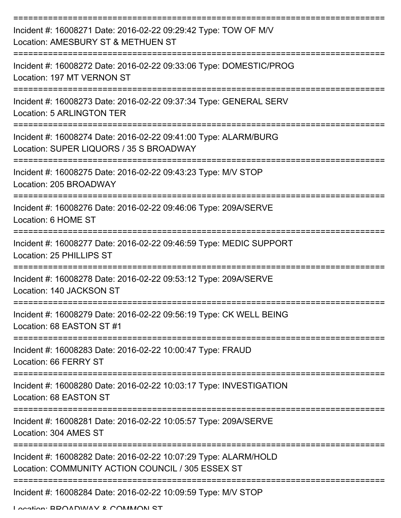| Incident #: 16008271 Date: 2016-02-22 09:29:42 Type: TOW OF M/V<br>Location: AMESBURY ST & METHUEN ST                |
|----------------------------------------------------------------------------------------------------------------------|
| Incident #: 16008272 Date: 2016-02-22 09:33:06 Type: DOMESTIC/PROG<br>Location: 197 MT VERNON ST                     |
| Incident #: 16008273 Date: 2016-02-22 09:37:34 Type: GENERAL SERV<br><b>Location: 5 ARLINGTON TER</b>                |
| Incident #: 16008274 Date: 2016-02-22 09:41:00 Type: ALARM/BURG<br>Location: SUPER LIQUORS / 35 S BROADWAY           |
| Incident #: 16008275 Date: 2016-02-22 09:43:23 Type: M/V STOP<br>Location: 205 BROADWAY                              |
| ======================<br>Incident #: 16008276 Date: 2016-02-22 09:46:06 Type: 209A/SERVE<br>Location: 6 HOME ST     |
| Incident #: 16008277 Date: 2016-02-22 09:46:59 Type: MEDIC SUPPORT<br>Location: 25 PHILLIPS ST                       |
| Incident #: 16008278 Date: 2016-02-22 09:53:12 Type: 209A/SERVE<br>Location: 140 JACKSON ST                          |
| Incident #: 16008279 Date: 2016-02-22 09:56:19 Type: CK WELL BEING<br>Location: 68 EASTON ST #1                      |
| Incident #: 16008283 Date: 2016-02-22 10:00:47 Type: FRAUD<br>Location: 66 FERRY ST                                  |
| Incident #: 16008280 Date: 2016-02-22 10:03:17 Type: INVESTIGATION<br>Location: 68 EASTON ST                         |
| Incident #: 16008281 Date: 2016-02-22 10:05:57 Type: 209A/SERVE<br>Location: 304 AMES ST                             |
| Incident #: 16008282 Date: 2016-02-22 10:07:29 Type: ALARM/HOLD<br>Location: COMMUNITY ACTION COUNCIL / 305 ESSEX ST |
| Incident #: 16008284 Date: 2016-02-22 10:09:59 Type: M/V STOP                                                        |

Location: BDOADWAV & COMMADNI CT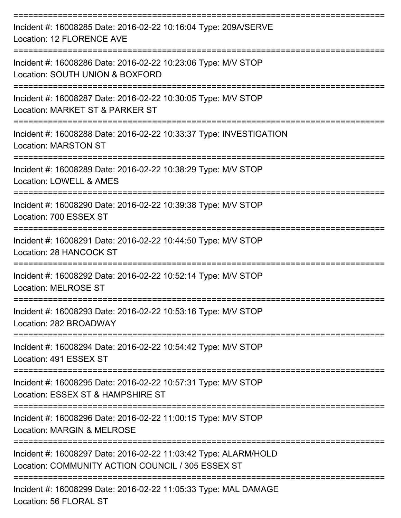| Incident #: 16008285 Date: 2016-02-22 10:16:04 Type: 209A/SERVE<br>Location: 12 FLORENCE AVE                         |
|----------------------------------------------------------------------------------------------------------------------|
| Incident #: 16008286 Date: 2016-02-22 10:23:06 Type: M/V STOP<br>Location: SOUTH UNION & BOXFORD                     |
| Incident #: 16008287 Date: 2016-02-22 10:30:05 Type: M/V STOP<br>Location: MARKET ST & PARKER ST                     |
| Incident #: 16008288 Date: 2016-02-22 10:33:37 Type: INVESTIGATION<br><b>Location: MARSTON ST</b>                    |
| Incident #: 16008289 Date: 2016-02-22 10:38:29 Type: M/V STOP<br>Location: LOWELL & AMES                             |
| Incident #: 16008290 Date: 2016-02-22 10:39:38 Type: M/V STOP<br>Location: 700 ESSEX ST                              |
| =================<br>Incident #: 16008291 Date: 2016-02-22 10:44:50 Type: M/V STOP<br>Location: 28 HANCOCK ST        |
| Incident #: 16008292 Date: 2016-02-22 10:52:14 Type: M/V STOP<br><b>Location: MELROSE ST</b>                         |
| Incident #: 16008293 Date: 2016-02-22 10:53:16 Type: M/V STOP<br>Location: 282 BROADWAY                              |
| Incident #: 16008294 Date: 2016-02-22 10:54:42 Type: M/V STOP<br>Location: 491 ESSEX ST                              |
| Incident #: 16008295 Date: 2016-02-22 10:57:31 Type: M/V STOP<br>Location: ESSEX ST & HAMPSHIRE ST                   |
| Incident #: 16008296 Date: 2016-02-22 11:00:15 Type: M/V STOP<br>Location: MARGIN & MELROSE                          |
| Incident #: 16008297 Date: 2016-02-22 11:03:42 Type: ALARM/HOLD<br>Location: COMMUNITY ACTION COUNCIL / 305 ESSEX ST |
| Incident #: 16008299 Date: 2016-02-22 11:05:33 Type: MAL DAMAGE<br>Location: 56 FLORAL ST                            |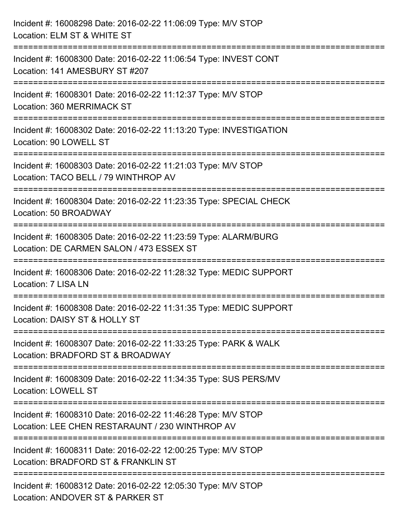| Incident #: 16008298 Date: 2016-02-22 11:06:09 Type: M/V STOP<br>Location: ELM ST & WHITE ST                                         |
|--------------------------------------------------------------------------------------------------------------------------------------|
| Incident #: 16008300 Date: 2016-02-22 11:06:54 Type: INVEST CONT<br>Location: 141 AMESBURY ST #207                                   |
| -------------------<br>Incident #: 16008301 Date: 2016-02-22 11:12:37 Type: M/V STOP<br>Location: 360 MERRIMACK ST                   |
| Incident #: 16008302 Date: 2016-02-22 11:13:20 Type: INVESTIGATION<br>Location: 90 LOWELL ST                                         |
| Incident #: 16008303 Date: 2016-02-22 11:21:03 Type: M/V STOP<br>Location: TACO BELL / 79 WINTHROP AV                                |
| Incident #: 16008304 Date: 2016-02-22 11:23:35 Type: SPECIAL CHECK<br>Location: 50 BROADWAY                                          |
| Incident #: 16008305 Date: 2016-02-22 11:23:59 Type: ALARM/BURG<br>Location: DE CARMEN SALON / 473 ESSEX ST                          |
| Incident #: 16008306 Date: 2016-02-22 11:28:32 Type: MEDIC SUPPORT<br><b>Location: 7 LISA LN</b>                                     |
| Incident #: 16008308 Date: 2016-02-22 11:31:35 Type: MEDIC SUPPORT<br>Location: DAISY ST & HOLLY ST                                  |
| Incident #: 16008307 Date: 2016-02-22 11:33:25 Type: PARK & WALK<br>Location: BRADFORD ST & BROADWAY                                 |
| Incident #: 16008309 Date: 2016-02-22 11:34:35 Type: SUS PERS/MV<br><b>Location: LOWELL ST</b>                                       |
| Incident #: 16008310 Date: 2016-02-22 11:46:28 Type: M/V STOP<br>Location: LEE CHEN RESTARAUNT / 230 WINTHROP AV                     |
| Incident #: 16008311 Date: 2016-02-22 12:00:25 Type: M/V STOP<br>Location: BRADFORD ST & FRANKLIN ST                                 |
| ===============================<br>Incident #: 16008312 Date: 2016-02-22 12:05:30 Type: M/V STOP<br>Location: ANDOVER ST & PARKER ST |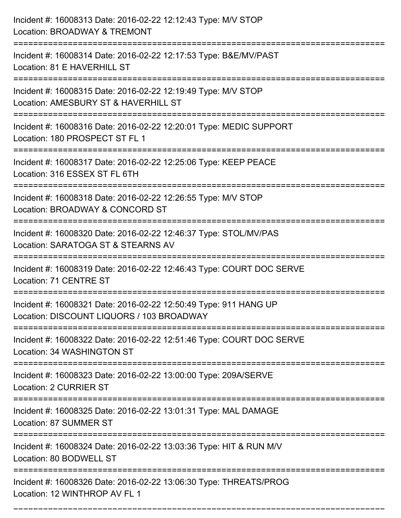| Incident #: 16008313 Date: 2016-02-22 12:12:43 Type: M/V STOP<br>Location: BROADWAY & TREMONT                                                                                     |
|-----------------------------------------------------------------------------------------------------------------------------------------------------------------------------------|
| Incident #: 16008314 Date: 2016-02-22 12:17:53 Type: B&E/MV/PAST<br>Location: 81 E HAVERHILL ST                                                                                   |
| Incident #: 16008315 Date: 2016-02-22 12:19:49 Type: M/V STOP<br>Location: AMESBURY ST & HAVERHILL ST<br>=====================================<br>=============================== |
| Incident #: 16008316 Date: 2016-02-22 12:20:01 Type: MEDIC SUPPORT<br>Location: 180 PROSPECT ST FL 1                                                                              |
| Incident #: 16008317 Date: 2016-02-22 12:25:06 Type: KEEP PEACE<br>Location: 316 ESSEX ST FL 6TH                                                                                  |
| Incident #: 16008318 Date: 2016-02-22 12:26:55 Type: M/V STOP<br>Location: BROADWAY & CONCORD ST                                                                                  |
| Incident #: 16008320 Date: 2016-02-22 12:46:37 Type: STOL/MV/PAS<br>Location: SARATOGA ST & STEARNS AV                                                                            |
| Incident #: 16008319 Date: 2016-02-22 12:46:43 Type: COURT DOC SERVE<br>Location: 71 CENTRE ST                                                                                    |
| Incident #: 16008321 Date: 2016-02-22 12:50:49 Type: 911 HANG UP<br>Location: DISCOUNT LIQUORS / 103 BROADWAY                                                                     |
| Incident #: 16008322 Date: 2016-02-22 12:51:46 Type: COURT DOC SERVE<br>Location: 34 WASHINGTON ST                                                                                |
| Incident #: 16008323 Date: 2016-02-22 13:00:00 Type: 209A/SERVE<br><b>Location: 2 CURRIER ST</b>                                                                                  |
| Incident #: 16008325 Date: 2016-02-22 13:01:31 Type: MAL DAMAGE<br><b>Location: 87 SUMMER ST</b>                                                                                  |
| Incident #: 16008324 Date: 2016-02-22 13:03:36 Type: HIT & RUN M/V<br>Location: 80 BODWELL ST                                                                                     |
| Incident #: 16008326 Date: 2016-02-22 13:06:30 Type: THREATS/PROG<br>Location: 12 WINTHROP AV FL 1                                                                                |

===========================================================================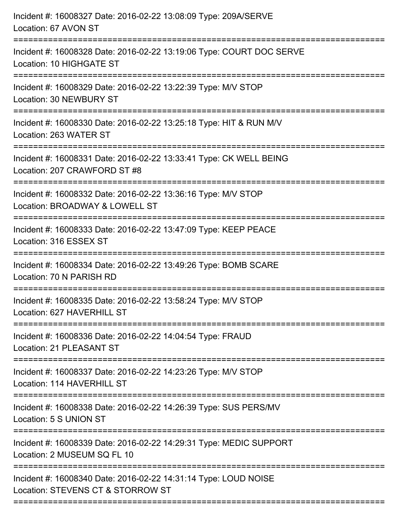| Incident #: 16008327 Date: 2016-02-22 13:08:09 Type: 209A/SERVE<br>Location: 67 AVON ST                                                                        |
|----------------------------------------------------------------------------------------------------------------------------------------------------------------|
| Incident #: 16008328 Date: 2016-02-22 13:19:06 Type: COURT DOC SERVE<br>Location: 10 HIGHGATE ST                                                               |
| Incident #: 16008329 Date: 2016-02-22 13:22:39 Type: M/V STOP<br>Location: 30 NEWBURY ST                                                                       |
| Incident #: 16008330 Date: 2016-02-22 13:25:18 Type: HIT & RUN M/V<br>Location: 263 WATER ST                                                                   |
| Incident #: 16008331 Date: 2016-02-22 13:33:41 Type: CK WELL BEING<br>Location: 207 CRAWFORD ST #8<br>:=============================<br>====================== |
| Incident #: 16008332 Date: 2016-02-22 13:36:16 Type: M/V STOP<br>Location: BROADWAY & LOWELL ST                                                                |
| Incident #: 16008333 Date: 2016-02-22 13:47:09 Type: KEEP PEACE<br>Location: 316 ESSEX ST<br>===================                                               |
| Incident #: 16008334 Date: 2016-02-22 13:49:26 Type: BOMB SCARE<br>Location: 70 N PARISH RD                                                                    |
| Incident #: 16008335 Date: 2016-02-22 13:58:24 Type: M/V STOP<br>Location: 627 HAVERHILL ST                                                                    |
| ====================<br>Incident #: 16008336 Date: 2016-02-22 14:04:54 Type: FRAUD<br>Location: 21 PLEASANT ST                                                 |
| Incident #: 16008337 Date: 2016-02-22 14:23:26 Type: M/V STOP<br>Location: 114 HAVERHILL ST                                                                    |
| Incident #: 16008338 Date: 2016-02-22 14:26:39 Type: SUS PERS/MV<br>Location: 5 S UNION ST                                                                     |
| Incident #: 16008339 Date: 2016-02-22 14:29:31 Type: MEDIC SUPPORT<br>Location: 2 MUSEUM SQ FL 10                                                              |
| -------------<br>Incident #: 16008340 Date: 2016-02-22 14:31:14 Type: LOUD NOISE<br>Location: STEVENS CT & STORROW ST                                          |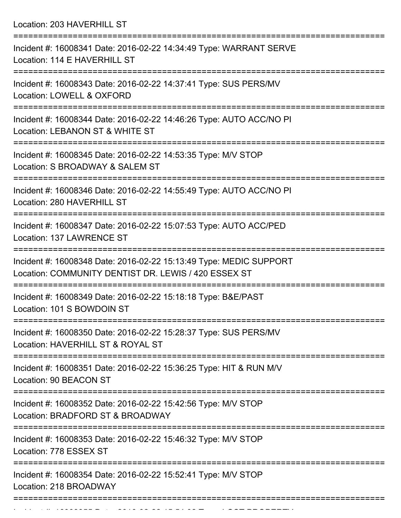Location: 203 HAVERHILL ST

| Incident #: 16008341 Date: 2016-02-22 14:34:49 Type: WARRANT SERVE<br>Location: 114 E HAVERHILL ST                         |
|----------------------------------------------------------------------------------------------------------------------------|
| Incident #: 16008343 Date: 2016-02-22 14:37:41 Type: SUS PERS/MV<br>Location: LOWELL & OXFORD                              |
| Incident #: 16008344 Date: 2016-02-22 14:46:26 Type: AUTO ACC/NO PI<br>Location: LEBANON ST & WHITE ST                     |
| Incident #: 16008345 Date: 2016-02-22 14:53:35 Type: M/V STOP<br>Location: S BROADWAY & SALEM ST                           |
| Incident #: 16008346 Date: 2016-02-22 14:55:49 Type: AUTO ACC/NO PI<br>Location: 280 HAVERHILL ST                          |
| Incident #: 16008347 Date: 2016-02-22 15:07:53 Type: AUTO ACC/PED<br>Location: 137 LAWRENCE ST                             |
| Incident #: 16008348 Date: 2016-02-22 15:13:49 Type: MEDIC SUPPORT<br>Location: COMMUNITY DENTIST DR. LEWIS / 420 ESSEX ST |
| Incident #: 16008349 Date: 2016-02-22 15:18:18 Type: B&E/PAST<br>Location: 101 S BOWDOIN ST                                |
| :================<br>Incident #: 16008350 Date: 2016-02-22 15:28:37 Type: SUS PERS/MV<br>Location: HAVERHILL ST & ROYAL ST |
| Incident #: 16008351 Date: 2016-02-22 15:36:25 Type: HIT & RUN M/V<br>Location: 90 BEACON ST                               |
| Incident #: 16008352 Date: 2016-02-22 15:42:56 Type: M/V STOP<br>Location: BRADFORD ST & BROADWAY                          |
| Incident #: 16008353 Date: 2016-02-22 15:46:32 Type: M/V STOP<br>Location: 778 ESSEX ST                                    |
| Incident #: 16008354 Date: 2016-02-22 15:52:41 Type: M/V STOP<br>Location: 218 BROADWAY                                    |
|                                                                                                                            |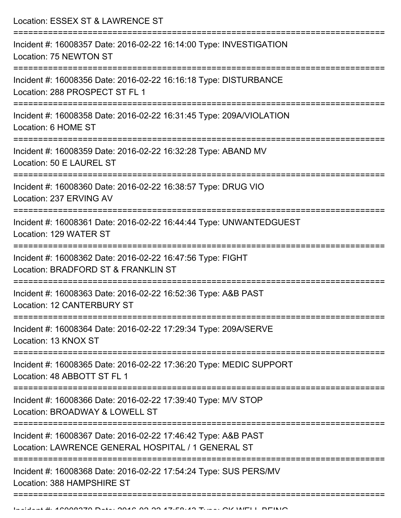Location: ESSEX ST & LAWRENCE ST =========================================================================== Incident #: 16008357 Date: 2016-02-22 16:14:00 Type: INVESTIGATION Location: 75 NEWTON ST =========================================================================== Incident #: 16008356 Date: 2016-02-22 16:16:18 Type: DISTURBANCE Location: 288 PROSPECT ST FL 1 =========================================================================== Incident #: 16008358 Date: 2016-02-22 16:31:45 Type: 209A/VIOLATION Location: 6 HOME ST =========================================================================== Incident #: 16008359 Date: 2016-02-22 16:32:28 Type: ABAND MV Location: 50 E LAUREL ST =========================================================================== Incident #: 16008360 Date: 2016-02-22 16:38:57 Type: DRUG VIO Location: 237 ERVING AV =========================================================================== Incident #: 16008361 Date: 2016-02-22 16:44:44 Type: UNWANTEDGUEST Location: 129 WATER ST =========================================================================== Incident #: 16008362 Date: 2016-02-22 16:47:56 Type: FIGHT Location: BRADFORD ST & FRANKLIN ST =========================================================================== Incident #: 16008363 Date: 2016-02-22 16:52:36 Type: A&B PAST Location: 12 CANTERBURY ST =========================================================================== Incident #: 16008364 Date: 2016-02-22 17:29:34 Type: 209A/SERVE Location: 13 KNOX ST =========================================================================== Incident #: 16008365 Date: 2016-02-22 17:36:20 Type: MEDIC SUPPORT Location: 48 ABBOTT ST FL 1 =========================================================================== Incident #: 16008366 Date: 2016-02-22 17:39:40 Type: M/V STOP Location: BROADWAY & LOWELL ST =========================================================================== Incident #: 16008367 Date: 2016-02-22 17:46:42 Type: A&B PAST Location: LAWRENCE GENERAL HOSPITAL / 1 GENERAL ST =========================================================================== Incident #: 16008368 Date: 2016-02-22 17:54:24 Type: SUS PERS/MV Location: 388 HAMPSHIRE ST

===========================================================================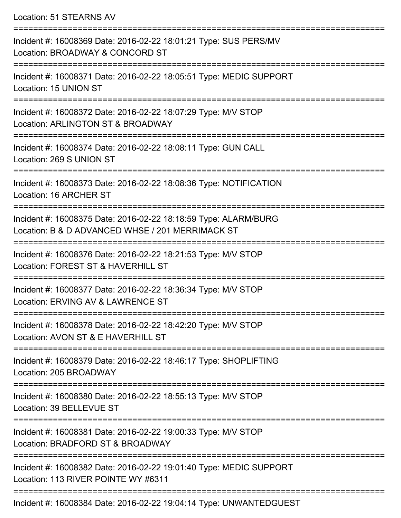Location: 51 STEARNS AV

| Incident #: 16008369 Date: 2016-02-22 18:01:21 Type: SUS PERS/MV<br>Location: BROADWAY & CONCORD ST                 |
|---------------------------------------------------------------------------------------------------------------------|
| Incident #: 16008371 Date: 2016-02-22 18:05:51 Type: MEDIC SUPPORT<br>Location: 15 UNION ST                         |
| Incident #: 16008372 Date: 2016-02-22 18:07:29 Type: M/V STOP<br>Location: ARLINGTON ST & BROADWAY                  |
| Incident #: 16008374 Date: 2016-02-22 18:08:11 Type: GUN CALL<br>Location: 269 S UNION ST                           |
| Incident #: 16008373 Date: 2016-02-22 18:08:36 Type: NOTIFICATION<br>Location: 16 ARCHER ST                         |
| Incident #: 16008375 Date: 2016-02-22 18:18:59 Type: ALARM/BURG<br>Location: B & D ADVANCED WHSE / 201 MERRIMACK ST |
| Incident #: 16008376 Date: 2016-02-22 18:21:53 Type: M/V STOP<br>Location: FOREST ST & HAVERHILL ST                 |
| Incident #: 16008377 Date: 2016-02-22 18:36:34 Type: M/V STOP<br>Location: ERVING AV & LAWRENCE ST                  |
| Incident #: 16008378 Date: 2016-02-22 18:42:20 Type: M/V STOP<br>Location: AVON ST & E HAVERHILL ST                 |
| Incident #: 16008379 Date: 2016-02-22 18:46:17 Type: SHOPLIFTING<br>Location: 205 BROADWAY                          |
| Incident #: 16008380 Date: 2016-02-22 18:55:13 Type: M/V STOP<br>Location: 39 BELLEVUE ST                           |
| Incident #: 16008381 Date: 2016-02-22 19:00:33 Type: M/V STOP<br>Location: BRADFORD ST & BROADWAY                   |
| Incident #: 16008382 Date: 2016-02-22 19:01:40 Type: MEDIC SUPPORT<br>Location: 113 RIVER POINTE WY #6311           |
|                                                                                                                     |

Incident #: 16008384 Date: 2016-02-22 19:04:14 Type: UNWANTEDGUEST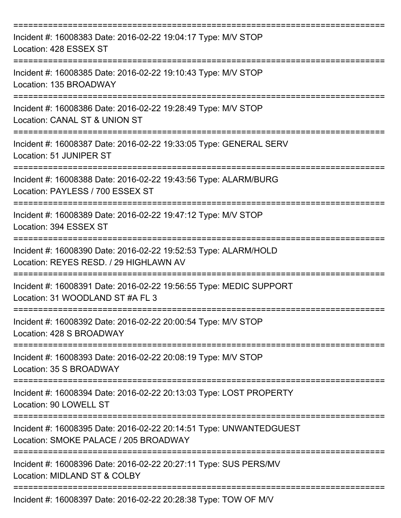| Incident #: 16008383 Date: 2016-02-22 19:04:17 Type: M/V STOP<br>Location: 428 ESSEX ST                     |
|-------------------------------------------------------------------------------------------------------------|
| Incident #: 16008385 Date: 2016-02-22 19:10:43 Type: M/V STOP<br>Location: 135 BROADWAY                     |
| Incident #: 16008386 Date: 2016-02-22 19:28:49 Type: M/V STOP<br>Location: CANAL ST & UNION ST              |
| Incident #: 16008387 Date: 2016-02-22 19:33:05 Type: GENERAL SERV<br>Location: 51 JUNIPER ST                |
| Incident #: 16008388 Date: 2016-02-22 19:43:56 Type: ALARM/BURG<br>Location: PAYLESS / 700 ESSEX ST         |
| Incident #: 16008389 Date: 2016-02-22 19:47:12 Type: M/V STOP<br>Location: 394 ESSEX ST                     |
| Incident #: 16008390 Date: 2016-02-22 19:52:53 Type: ALARM/HOLD<br>Location: REYES RESD. / 29 HIGHLAWN AV   |
| Incident #: 16008391 Date: 2016-02-22 19:56:55 Type: MEDIC SUPPORT<br>Location: 31 WOODLAND ST #A FL 3      |
| Incident #: 16008392 Date: 2016-02-22 20:00:54 Type: M/V STOP<br>Location: 428 S BROADWAY                   |
| Incident #: 16008393 Date: 2016-02-22 20:08:19 Type: M/V STOP<br>Location: 35 S BROADWAY                    |
| Incident #: 16008394 Date: 2016-02-22 20:13:03 Type: LOST PROPERTY<br>Location: 90 LOWELL ST                |
| Incident #: 16008395 Date: 2016-02-22 20:14:51 Type: UNWANTEDGUEST<br>Location: SMOKE PALACE / 205 BROADWAY |
| Incident #: 16008396 Date: 2016-02-22 20:27:11 Type: SUS PERS/MV<br>Location: MIDLAND ST & COLBY            |
| Incident #: 16008397 Date: 2016-02-22 20:28:38 Type: TOW OF M/V                                             |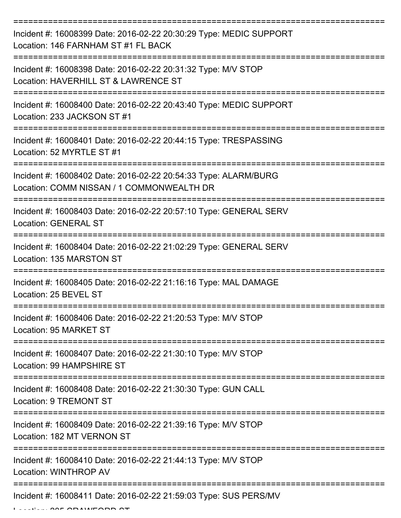| Incident #: 16008399 Date: 2016-02-22 20:30:29 Type: MEDIC SUPPORT<br>Location: 146 FARNHAM ST #1 FL BACK                            |
|--------------------------------------------------------------------------------------------------------------------------------------|
| Incident #: 16008398 Date: 2016-02-22 20:31:32 Type: M/V STOP<br>Location: HAVERHILL ST & LAWRENCE ST                                |
| Incident #: 16008400 Date: 2016-02-22 20:43:40 Type: MEDIC SUPPORT<br>Location: 233 JACKSON ST #1                                    |
| Incident #: 16008401 Date: 2016-02-22 20:44:15 Type: TRESPASSING<br>Location: 52 MYRTLE ST #1                                        |
| Incident #: 16008402 Date: 2016-02-22 20:54:33 Type: ALARM/BURG<br>Location: COMM NISSAN / 1 COMMONWEALTH DR<br>==================== |
| Incident #: 16008403 Date: 2016-02-22 20:57:10 Type: GENERAL SERV<br><b>Location: GENERAL ST</b>                                     |
| Incident #: 16008404 Date: 2016-02-22 21:02:29 Type: GENERAL SERV<br>Location: 135 MARSTON ST                                        |
| Incident #: 16008405 Date: 2016-02-22 21:16:16 Type: MAL DAMAGE<br>Location: 25 BEVEL ST                                             |
| Incident #: 16008406 Date: 2016-02-22 21:20:53 Type: M/V STOP<br>Location: 95 MARKET ST                                              |
| Incident #: 16008407 Date: 2016-02-22 21:30:10 Type: M/V STOP<br>Location: 99 HAMPSHIRE ST                                           |
| Incident #: 16008408 Date: 2016-02-22 21:30:30 Type: GUN CALL<br>Location: 9 TREMONT ST                                              |
| Incident #: 16008409 Date: 2016-02-22 21:39:16 Type: M/V STOP<br>Location: 182 MT VERNON ST                                          |
| Incident #: 16008410 Date: 2016-02-22 21:44:13 Type: M/V STOP<br>Location: WINTHROP AV                                               |
| Incident #: 16008411 Date: 2016-02-22 21:59:03 Type: SUS PERS/MV                                                                     |